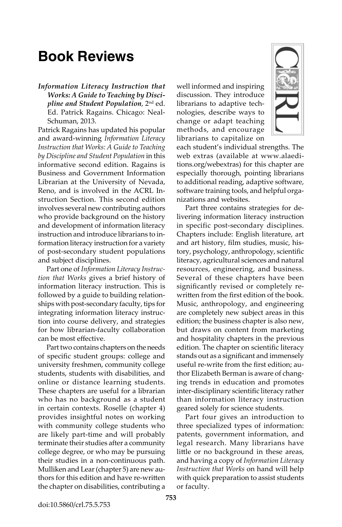## **Book Reviews**

*Information Literacy Instruction that Works: A Guide to Teaching by Discipline and Student Population*, 2nd ed. Ed. Patrick Ragains. Chicago: Neal-Schuman, 2013.

Patrick Ragains has updated his popular and award-winning *Information Literacy Instruction that Works: A Guide to Teaching by Discipline and Student Population* in this informative second edition. Ragains is Business and Government Information Librarian at the University of Nevada, Reno, and is involved in the ACRL Instruction Section. This second edition involves several new contributing authors who provide background on the history and development of information literacy instruction and introduce librarians to information literacy instruction for a variety of post-secondary student populations and subject disciplines.

Part one of *Information Literacy Instruction that Works* gives a brief history of information literacy instruction. This is followed by a guide to building relationships with post-secondary faculty, tips for integrating information literacy instruction into course delivery, and strategies for how librarian-faculty collaboration can be most effective.

Part two contains chapters on the needs of specific student groups: college and university freshmen, community college students, students with disabilities, and online or distance learning students. These chapters are useful for a librarian who has no background as a student in certain contexts. Roselle (chapter 4) provides insightful notes on working with community college students who are likely part-time and will probably terminate their studies after a community college degree, or who may be pursuing their studies in a non-continuous path. Mulliken and Lear (chapter 5) are new authors for this edition and have re-written the chapter on disabilities, contributing a

well informed and inspiring discussion. They introduce librarians to adaptive technologies, describe ways to change or adapt teaching methods, and encourage librarians to capitalize on



each student's individual strengths. The web extras (available at www.alaeditions.org/webextras) for this chapter are especially thorough, pointing librarians to additional reading, adaptive software, software training tools, and helpful organizations and websites.

Part three contains strategies for delivering information literacy instruction in specific post-secondary disciplines. Chapters include: English literature, art and art history, film studies, music, history, psychology, anthropology, scientific literacy, agricultural sciences and natural resources, engineering, and business. Several of these chapters have been significantly revised or completely rewritten from the first edition of the book. Music, anthropology, and engineering are completely new subject areas in this edition; the business chapter is also new, but draws on content from marketing and hospitality chapters in the previous edition. The chapter on scientific literacy stands out as a significant and immensely useful re-write from the first edition; author Elizabeth Berman is aware of changing trends in education and promotes inter-disciplinary scientific literacy rather than information literacy instruction geared solely for science students.

Part four gives an introduction to three specialized types of information: patents, government information, and legal research. Many librarians have little or no background in these areas, and having a copy of *Information Literacy Instruction that Works* on hand will help with quick preparation to assist students or faculty.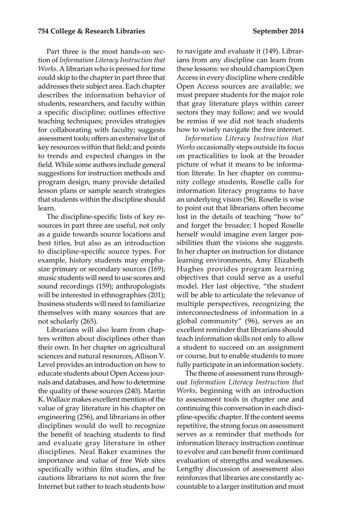## **754 College & Research Libraries September 2014**

Part three is the most hands-on section of *Information Literacy Instruction that Works*. A librarian who is pressed for time could skip to the chapter in part three that addresses their subject area. Each chapter describes the information behavior of students, researchers, and faculty within a specific discipline; outlines effective teaching techniques; provides strategies for collaborating with faculty; suggests assessment tools; offers an extensive list of key resources within that field; and points to trends and expected changes in the field. While some authors include general suggestions for instruction methods and program design, many provide detailed lesson plans or sample search strategies that students within the discipline should learn.

The discipline-specific lists of key resources in part three are useful, not only as a guide towards source locations and best titles, but also as an introduction to discipline-specific source types. For example, history students may emphasize primary or secondary sources (169); music students will need to use scores and sound recordings (159); anthropologists will be interested in ethnographies (201); business students will need to familiarize themselves with many sources that are not scholarly (265).

Librarians will also learn from chapters written about disciplines other than their own. In her chapter on agricultural sciences and natural resources, Allison V. Level provides an introduction on how to educate students about Open Access journals and databases, and how to determine the quality of these sources (240). Martin K. Wallace makes excellent mention of the value of gray literature in his chapter on engineering (256), and librarians in other disciplines would do well to recognize the benefit of teaching students to find and evaluate gray literature in other disciplines. Neal Baker examines the importance and value of free Web sites specifically within film studies, and he cautions librarians to not scorn the free Internet but rather to teach students how

to navigate and evaluate it (149). Librarians from any discipline can learn from these lessons: we should champion Open Access in every discipline where credible Open Access sources are available; we must prepare students for the major role that gray literature plays within career sectors they may follow; and we would be remiss if we did not teach students how to wisely navigate the free internet.

*Information Literacy Instruction that Works* occasionally steps outside its focus on practicalities to look at the broader picture of what it means to be information literate. In her chapter on community college students, Roselle calls for information literacy programs to have an underlying vision (56). Roselle is wise to point out that librarians often become lost in the details of teaching "how to" and forget the broader; I hoped Roselle herself would imagine even larger possibilities than the visions she suggests. In her chapter on instruction for distance learning environments, Amy Elizabeth Hughes provides program learning objectives that could serve as a useful model. Her last objective, "the student will be able to articulate the relevance of multiple perspectives, recognizing the interconnectedness of information in a global community" (96), serves as an excellent reminder that librarians should teach information skills not only to allow a student to succeed on an assignment or course, but to enable students to more fully participate in an information society.

The theme of assessment runs throughout *Information Literacy Instruction that Works*, beginning with an introduction to assessment tools in chapter one and continuing this conversation in each discipline-specific chapter. If the content seems repetitive, the strong focus on assessment serves as a reminder that methods for information literacy instruction continue to evolve and can benefit from continued evaluation of strengths and weaknesses. Lengthy discussion of assessment also reinforces that libraries are constantly accountable to a larger institution and must